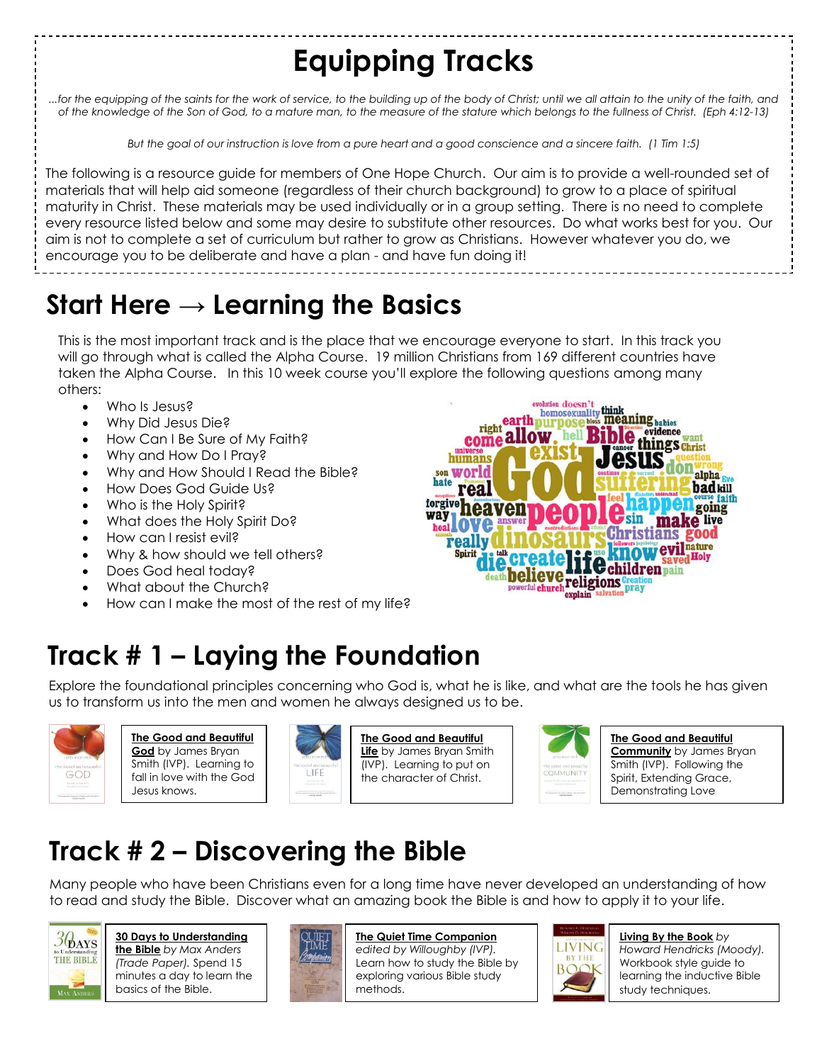# **Equipping Tracks**

*...for the equipping of the saints for the work of service, to the building up of the body of Christ; until we all attain to the unity of the faith, and of the knowledge of the Son of God, to a mature man, to the measure of the stature which belongs to the fullness of Christ. (Eph 4:12-13)*

*But the goal of our instruction is love from a pure heart and a good conscience and a sincere faith. (1 Tim 1:5)*

The following is a resource guide for members of One Hope Church. Our aim is to provide a well-rounded set of materials that will help aid someone (regardless of their church background) to grow to a place of spiritual maturity in Christ. These materials may be used individually or in a group setting. There is no need to complete every resource listed below and some may desire to substitute other resources. Do what works best for you. Our aim is not to complete a set of curriculum but rather to grow as Christians. However whatever you do, we encourage you to be deliberate and have a plan - and have fun doing it!

#### **Start Here → Learning the Basics**

This is the most important track and is the place that we encourage everyone to start. In this track you will go through what is called the Alpha Course. 19 million Christians from 169 different countries have taken the Alpha Course. In this 10 week course you'll explore the following questions among many others:

- Who Is Jesus?
- Why Did Jesus Die?
- How Can I Be Sure of My Faith?
- Why and How Do I Pray?
- Why and How Should I Read the Bible?
- How Does God Guide Us?
- Who is the Holy Spirit?
- What does the Holy Spirit Do?
- How can I resist evil?
- Why & how should we tell others?
- Does God heal today?
- What about the Church?
- How can I make the most of the rest of my life?



#### **Track # 1 – Laying the Foundation**

Explore the foundational principles concerning who God is, what he is like, and what are the tools he has given us to transform us into the men and women he always designed us to be.



**The Good and Beautiful God** by James Bryan Smith (IVP). Learning to fall in love with the God Jesus knows.



**The Good and Beautiful Life** by James Bryan Smith (IVP). Learning to put on the character of Christ.



**The Good and Beautiful Community** by James Bryan Smith (IVP). Following the Spirit, Extending Grace, Demonstrating Love

#### **Track # 2 – Discovering the Bible**

Many people who have been Christians even for a long time have never developed an understanding of how to read and study the Bible. Discover what an amazing book the Bible is and how to apply it to your life.



#### **30 Days to Understanding the Bible** *by Max Anders (Trade Paper).* Spend 15 minutes a day to learn the

basics of the Bible.



**The Quiet Time Companion** *edited by Willoughby (IVP).* Learn how to study the Bible by exploring various Bible study methods.



**Living By the Book** *by* 

*Howard Hendricks (Moody).* Workbook style guide to learning the inductive Bible study techniques.